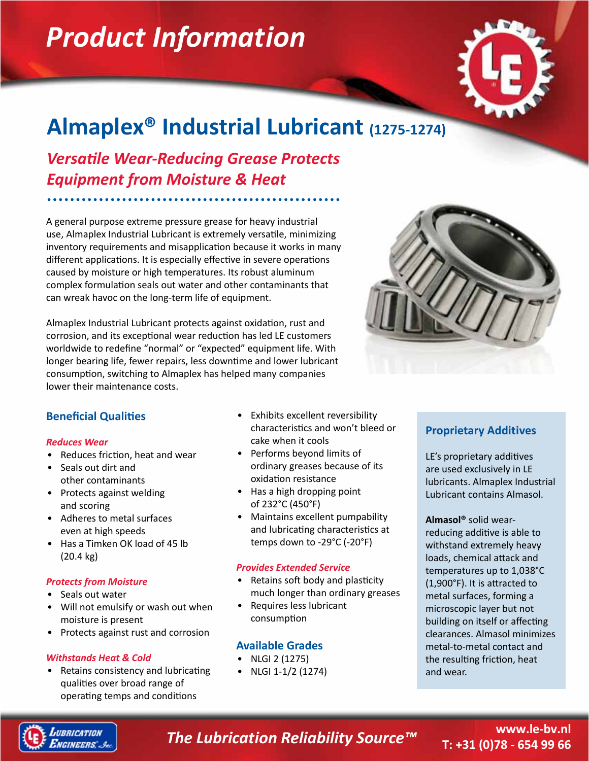# *Product Information*



## **Almaplex® Industrial Lubricant (1275-1274)**

*Versatile Wear-Reducing Grease Protects Equipment from Moisture & Heat*

A general purpose extreme pressure grease for heavy industrial use, Almaplex Industrial Lubricant is extremely versatile, minimizing inventory requirements and misapplication because it works in many different applications. It is especially effective in severe operations caused by moisture or high temperatures. Its robust aluminum complex formulation seals out water and other contaminants that can wreak havoc on the long-term life of equipment.

Almaplex Industrial Lubricant protects against oxidation, rust and corrosion, and its exceptional wear reduction has led LE customers worldwide to redefine "normal" or "expected" equipment life. With longer bearing life, fewer repairs, less downtime and lower lubricant consumption, switching to Almaplex has helped many companies lower their maintenance costs.



#### **Beneficial Qualities**

#### *Reduces Wear*

- Reduces friction, heat and wear
- Seals out dirt and other contaminants
- Protects against welding and scoring
- Adheres to metal surfaces even at high speeds
- Has a Timken OK load of 45 lb (20.4 kg)

#### *Protects from Moisture*

- Seals out water
- Will not emulsify or wash out when moisture is present
- Protects against rust and corrosion

#### *Withstands Heat & Cold*

• Retains consistency and lubricating qualities over broad range of operating temps and conditions

- Exhibits excellent reversibility characteristics and won't bleed or cake when it cools
- Performs beyond limits of ordinary greases because of its oxidation resistance
- Has a high dropping point of 232°C (450°F)
- Maintains excellent pumpability and lubricating characteristics at temps down to -29°C (-20°F)

#### *Provides Extended Service*

- Retains soft body and plasticity much longer than ordinary greases
- Requires less lubricant consumption

#### **Available Grades**

- NLGI 2 (1275)
- NLGI 1-1/2 (1274)

#### **Proprietary Additives**

LE's proprietary additives are used exclusively in LE lubricants. Almaplex Industrial Lubricant contains Almasol.

**Almasol®** solid wearreducing additive is able to withstand extremely heavy loads, chemical attack and temperatures up to 1,038°C (1,900°F). It is attracted to metal surfaces, forming a microscopic layer but not building on itself or affecting clearances. Almasol minimizes metal-to-metal contact and the resulting friction, heat and wear.



### *The Lubrication Reliability Source™*

#### **www.le-bv.nl T: +31 (0)78 - 654 99 66**